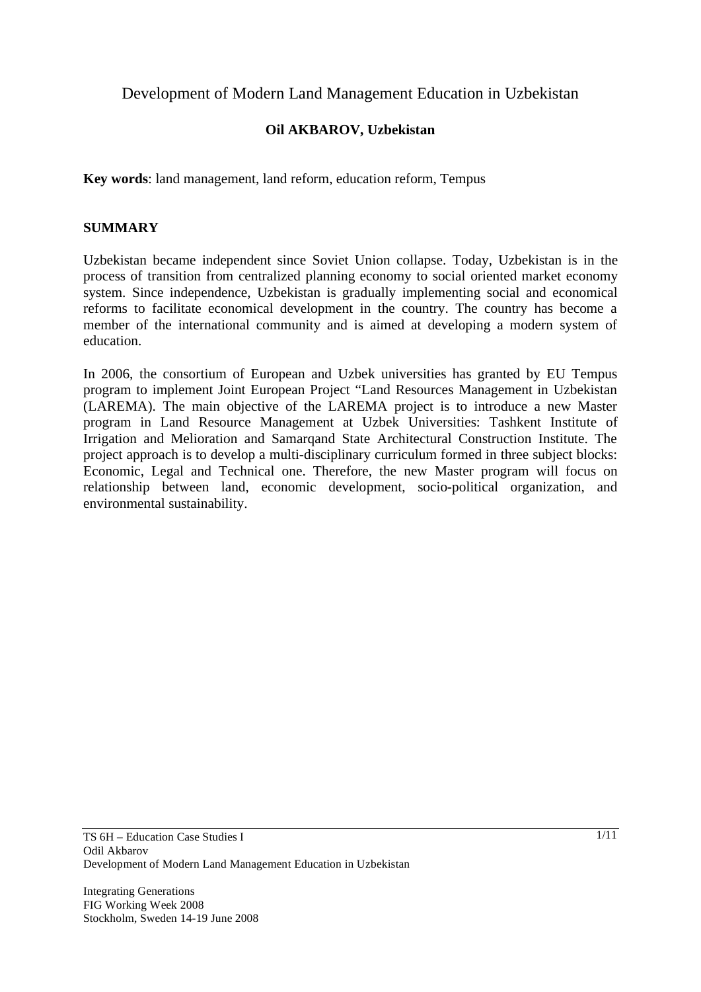Development of Modern Land Management Education in Uzbekistan

# **Oil AKBAROV, Uzbekistan**

**Key words**: land management, land reform, education reform, Tempus

# **SUMMARY**

Uzbekistan became independent since Soviet Union collapse. Today, Uzbekistan is in the process of transition from centralized planning economy to social oriented market economy system. Since independence, Uzbekistan is gradually implementing social and economical reforms to facilitate economical development in the country. The country has become a member of the international community and is aimed at developing a modern system of education.

In 2006, the consortium of European and Uzbek universities has granted by EU Tempus program to implement Joint European Project "Land Resources Management in Uzbekistan (LAREMA). The main objective of the LAREMA project is to introduce a new Master program in Land Resource Management at Uzbek Universities: Tashkent Institute of Irrigation and Melioration and Samarqand State Architectural Construction Institute. The project approach is to develop a multi-disciplinary curriculum formed in three subject blocks: Economic, Legal and Technical one. Therefore, the new Master program will focus on relationship between land, economic development, socio-political organization, and environmental sustainability.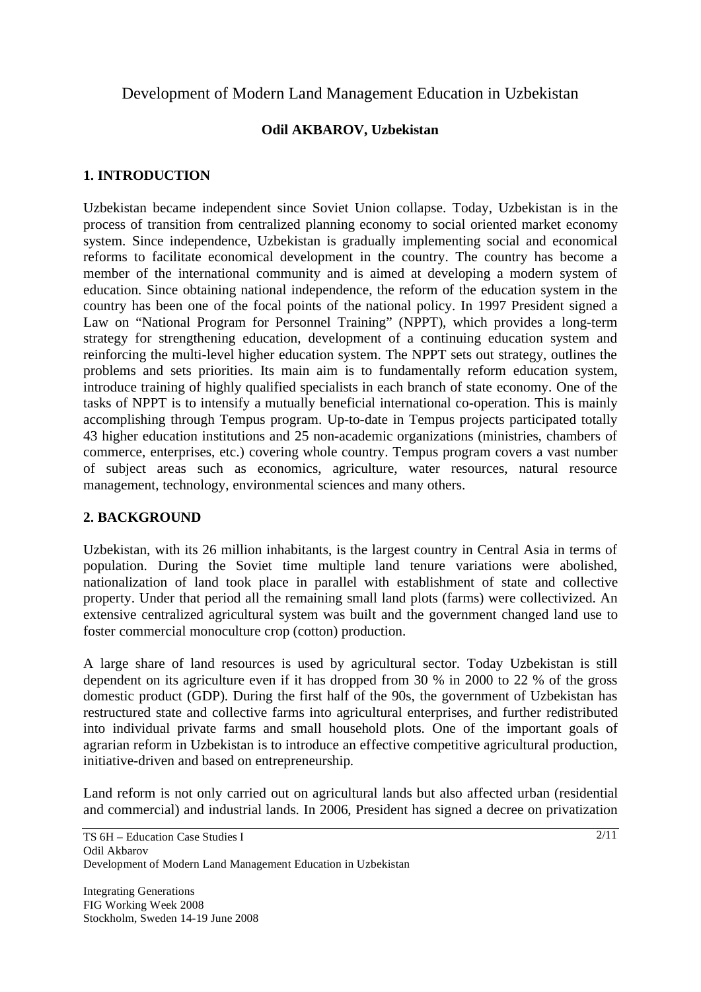# Development of Modern Land Management Education in Uzbekistan

# **Odil AKBAROV, Uzbekistan**

# **1. INTRODUCTION**

Uzbekistan became independent since Soviet Union collapse. Today, Uzbekistan is in the process of transition from centralized planning economy to social oriented market economy system. Since independence, Uzbekistan is gradually implementing social and economical reforms to facilitate economical development in the country. The country has become a member of the international community and is aimed at developing a modern system of education. Since obtaining national independence, the reform of the education system in the country has been one of the focal points of the national policy. In 1997 President signed a Law on "National Program for Personnel Training" (NPPT), which provides a long-term strategy for strengthening education, development of a continuing education system and reinforcing the multi-level higher education system. The NPPT sets out strategy, outlines the problems and sets priorities. Its main aim is to fundamentally reform education system, introduce training of highly qualified specialists in each branch of state economy. One of the tasks of NPPT is to intensify a mutually beneficial international co-operation. This is mainly accomplishing through Tempus program. Up-to-date in Tempus projects participated totally 43 higher education institutions and 25 non-academic organizations (ministries, chambers of commerce, enterprises, etc.) covering whole country. Tempus program covers a vast number of subject areas such as economics, agriculture, water resources, natural resource management, technology, environmental sciences and many others.

# **2. BACKGROUND**

Uzbekistan, with its 26 million inhabitants, is the largest country in Central Asia in terms of population. During the Soviet time multiple land tenure variations were abolished, nationalization of land took place in parallel with establishment of state and collective property. Under that period all the remaining small land plots (farms) were collectivized. An extensive centralized agricultural system was built and the government changed land use to foster commercial monoculture crop (cotton) production.

A large share of land resources is used by agricultural sector. Today Uzbekistan is still dependent on its agriculture even if it has dropped from 30 % in 2000 to 22 % of the gross domestic product (GDP). During the first half of the 90s, the government of Uzbekistan has restructured state and collective farms into agricultural enterprises, and further redistributed into individual private farms and small household plots. One of the important goals of agrarian reform in Uzbekistan is to introduce an effective competitive agricultural production, initiative-driven and based on entrepreneurship.

Land reform is not only carried out on agricultural lands but also affected urban (residential and commercial) and industrial lands. In 2006, President has signed a decree on privatization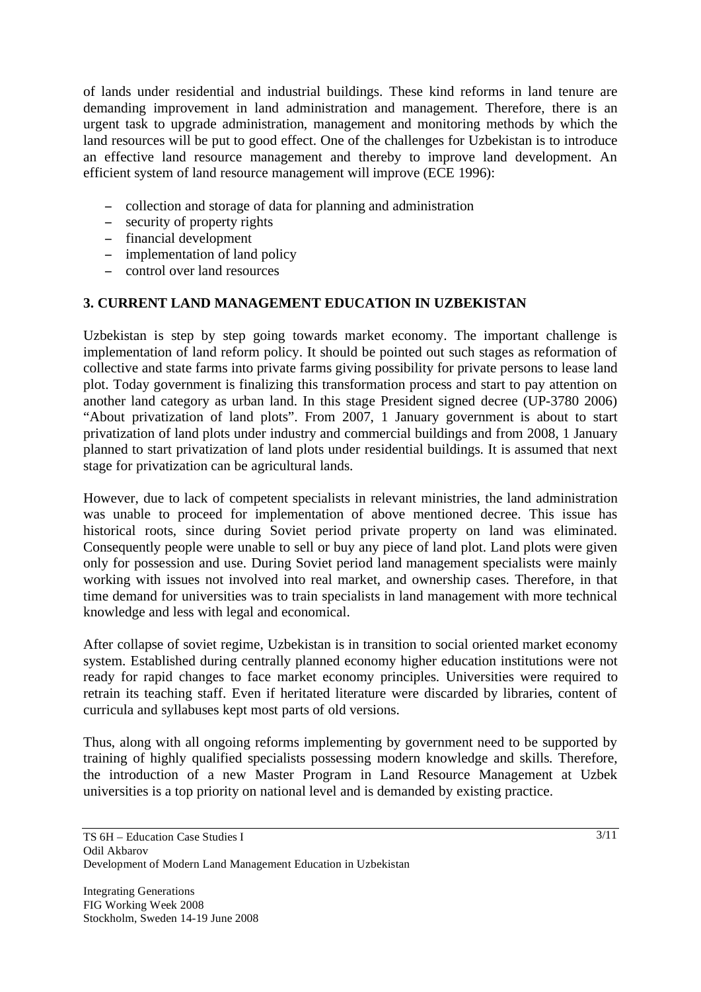of lands under residential and industrial buildings. These kind reforms in land tenure are demanding improvement in land administration and management. Therefore, there is an urgent task to upgrade administration, management and monitoring methods by which the land resources will be put to good effect. One of the challenges for Uzbekistan is to introduce an effective land resource management and thereby to improve land development. An efficient system of land resource management will improve (ECE 1996):

- collection and storage of data for planning and administration
- security of property rights
- financial development
- implementation of land policy
- control over land resources

# **3. CURRENT LAND MANAGEMENT EDUCATION IN UZBEKISTAN**

Uzbekistan is step by step going towards market economy. The important challenge is implementation of land reform policy. It should be pointed out such stages as reformation of collective and state farms into private farms giving possibility for private persons to lease land plot. Today government is finalizing this transformation process and start to pay attention on another land category as urban land. In this stage President signed decree (UP-3780 2006) "About privatization of land plots". From 2007, 1 January government is about to start privatization of land plots under industry and commercial buildings and from 2008, 1 January planned to start privatization of land plots under residential buildings. It is assumed that next stage for privatization can be agricultural lands.

However, due to lack of competent specialists in relevant ministries, the land administration was unable to proceed for implementation of above mentioned decree. This issue has historical roots, since during Soviet period private property on land was eliminated. Consequently people were unable to sell or buy any piece of land plot. Land plots were given only for possession and use. During Soviet period land management specialists were mainly working with issues not involved into real market, and ownership cases. Therefore, in that time demand for universities was to train specialists in land management with more technical knowledge and less with legal and economical.

After collapse of soviet regime, Uzbekistan is in transition to social oriented market economy system. Established during centrally planned economy higher education institutions were not ready for rapid changes to face market economy principles. Universities were required to retrain its teaching staff. Even if heritated literature were discarded by libraries, content of curricula and syllabuses kept most parts of old versions.

Thus, along with all ongoing reforms implementing by government need to be supported by training of highly qualified specialists possessing modern knowledge and skills. Therefore, the introduction of a new Master Program in Land Resource Management at Uzbek universities is a top priority on national level and is demanded by existing practice.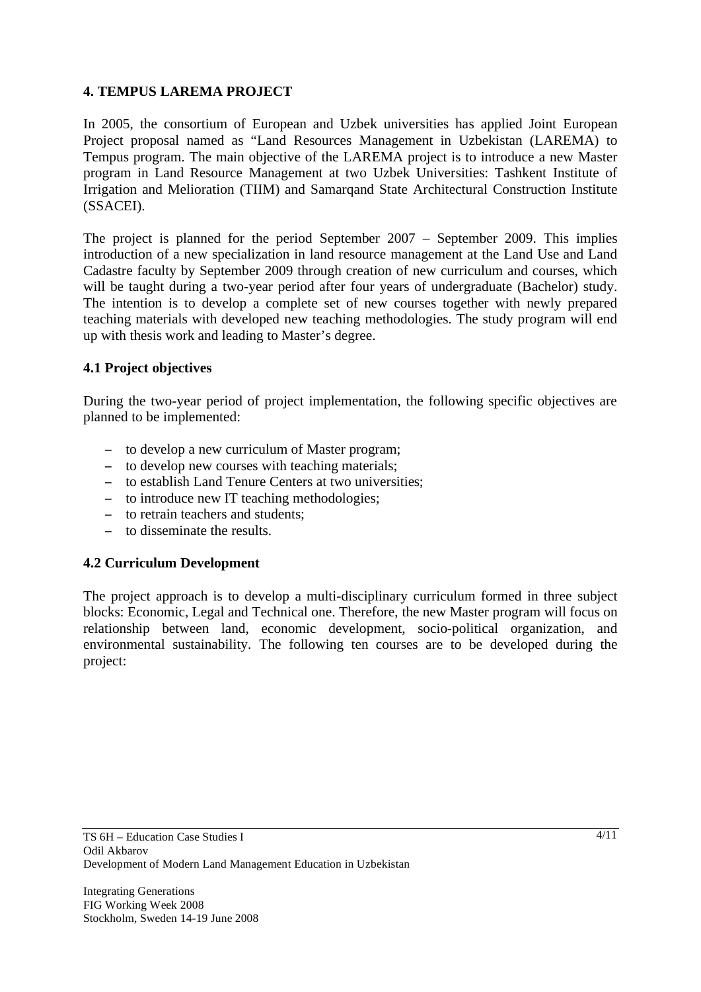# **4. TEMPUS LAREMA PROJECT**

In 2005, the consortium of European and Uzbek universities has applied Joint European Project proposal named as "Land Resources Management in Uzbekistan (LAREMA) to Tempus program. The main objective of the LAREMA project is to introduce a new Master program in Land Resource Management at two Uzbek Universities: Tashkent Institute of Irrigation and Melioration (TIIM) and Samarqand State Architectural Construction Institute (SSACEI).

The project is planned for the period September 2007 – September 2009. This implies introduction of a new specialization in land resource management at the Land Use and Land Cadastre faculty by September 2009 through creation of new curriculum and courses, which will be taught during a two-year period after four years of undergraduate (Bachelor) study. The intention is to develop a complete set of new courses together with newly prepared teaching materials with developed new teaching methodologies. The study program will end up with thesis work and leading to Master's degree.

# **4.1 Project objectives**

During the two-year period of project implementation, the following specific objectives are planned to be implemented:

- to develop a new curriculum of Master program;
- to develop new courses with teaching materials;
- to establish Land Tenure Centers at two universities;
- to introduce new IT teaching methodologies;
- to retrain teachers and students:
- to disseminate the results.

# **4.2 Curriculum Development**

The project approach is to develop a multi-disciplinary curriculum formed in three subject blocks: Economic, Legal and Technical one. Therefore, the new Master program will focus on relationship between land, economic development, socio-political organization, and environmental sustainability. The following ten courses are to be developed during the project: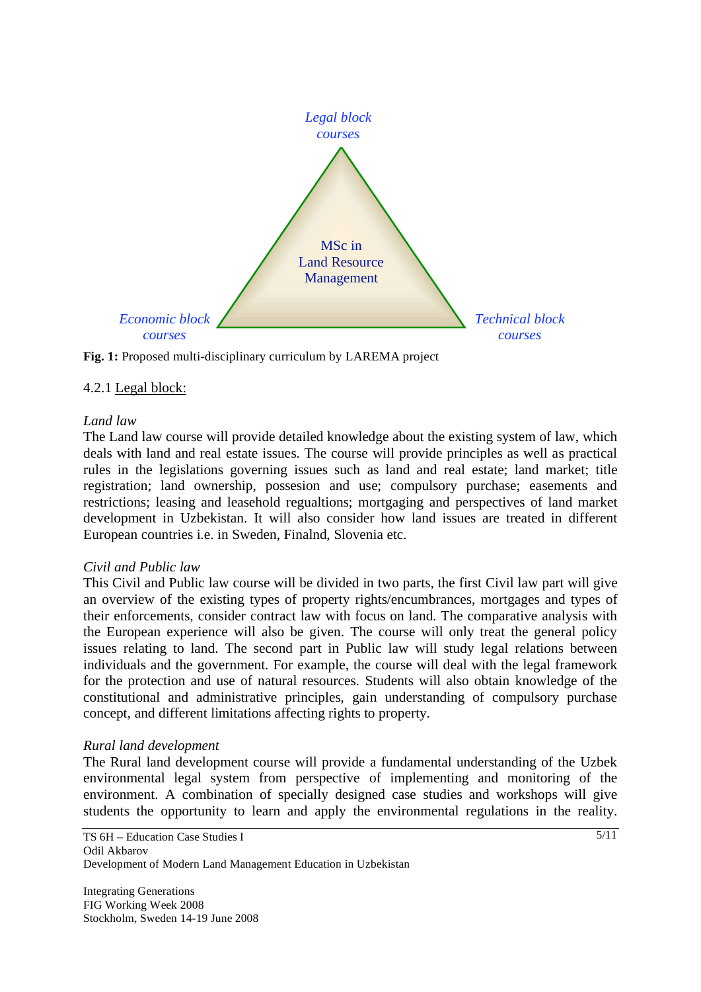

**Fig. 1:** Proposed multi-disciplinary curriculum by LAREMA project

#### 4.2.1 Legal block:

#### *Land law*

The Land law course will provide detailed knowledge about the existing system of law, which deals with land and real estate issues. The course will provide principles as well as practical rules in the legislations governing issues such as land and real estate; land market; title registration; land ownership, possesion and use; compulsory purchase; easements and restrictions; leasing and leasehold regualtions; mortgaging and perspectives of land market development in Uzbekistan. It will also consider how land issues are treated in different European countries i.e. in Sweden, Finalnd, Slovenia etc.

#### *Civil and Public law*

This Civil and Public law course will be divided in two parts, the first Civil law part will give an overview of the existing types of property rights/encumbrances, mortgages and types of their enforcements, consider contract law with focus on land. The comparative analysis with the European experience will also be given. The course will only treat the general policy issues relating to land. The second part in Public law will study legal relations between individuals and the government. For example, the course will deal with the legal framework for the protection and use of natural resources. Students will also obtain knowledge of the constitutional and administrative principles, gain understanding of compulsory purchase concept, and different limitations affecting rights to property.

#### *Rural land development*

The Rural land development course will provide a fundamental understanding of the Uzbek environmental legal system from perspective of implementing and monitoring of the environment. A combination of specially designed case studies and workshops will give students the opportunity to learn and apply the environmental regulations in the reality.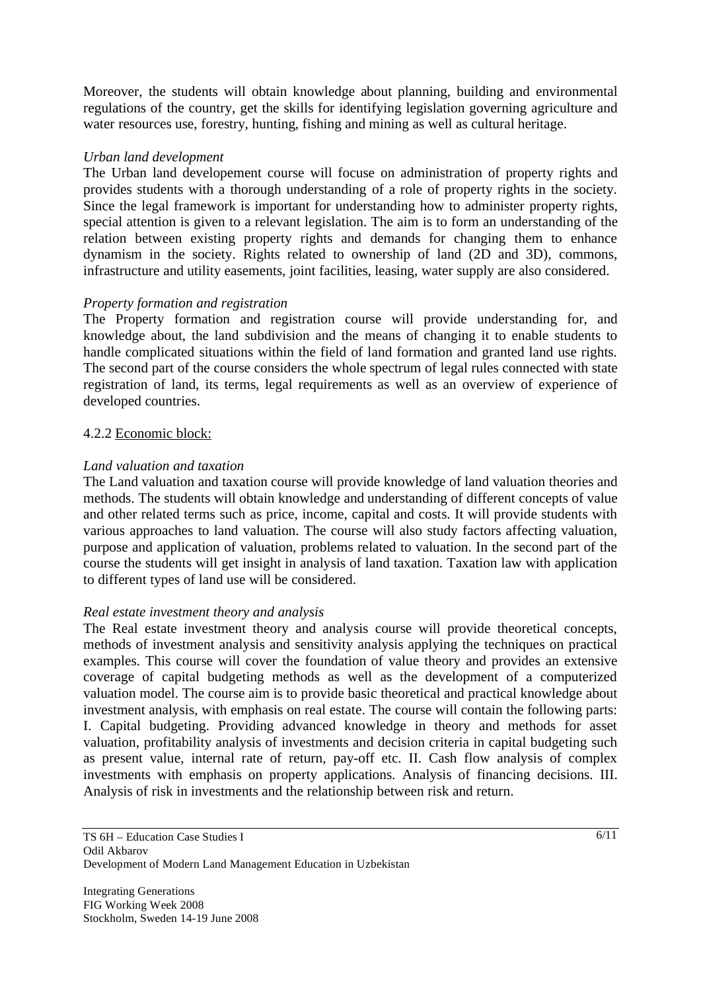Moreover, the students will obtain knowledge about planning, building and environmental regulations of the country, get the skills for identifying legislation governing agriculture and water resources use, forestry, hunting, fishing and mining as well as cultural heritage.

### *Urban land development*

The Urban land developement course will focuse on administration of property rights and provides students with a thorough understanding of a role of property rights in the society. Since the legal framework is important for understanding how to administer property rights, special attention is given to a relevant legislation. The aim is to form an understanding of the relation between existing property rights and demands for changing them to enhance dynamism in the society. Rights related to ownership of land (2D and 3D), commons, infrastructure and utility easements, joint facilities, leasing, water supply are also considered.

### *Property formation and registration*

The Property formation and registration course will provide understanding for, and knowledge about, the land subdivision and the means of changing it to enable students to handle complicated situations within the field of land formation and granted land use rights. The second part of the course considers the whole spectrum of legal rules connected with state registration of land, its terms, legal requirements as well as an overview of experience of developed countries.

### 4.2.2 Economic block:

### *Land valuation and taxation*

The Land valuation and taxation course will provide knowledge of land valuation theories and methods. The students will obtain knowledge and understanding of different concepts of value and other related terms such as price, income, capital and costs. It will provide students with various approaches to land valuation. The course will also study factors affecting valuation, purpose and application of valuation, problems related to valuation. In the second part of the course the students will get insight in analysis of land taxation. Taxation law with application to different types of land use will be considered.

#### *Real estate investment theory and analysis*

The Real estate investment theory and analysis course will provide theoretical concepts, methods of investment analysis and sensitivity analysis applying the techniques on practical examples. This course will cover the foundation of value theory and provides an extensive coverage of capital budgeting methods as well as the development of a computerized valuation model. The course aim is to provide basic theoretical and practical knowledge about investment analysis, with emphasis on real estate. The course will contain the following parts: I. Capital budgeting. Providing advanced knowledge in theory and methods for asset valuation, profitability analysis of investments and decision criteria in capital budgeting such as present value, internal rate of return, pay-off etc. II. Cash flow analysis of complex investments with emphasis on property applications. Analysis of financing decisions. III. Analysis of risk in investments and the relationship between risk and return.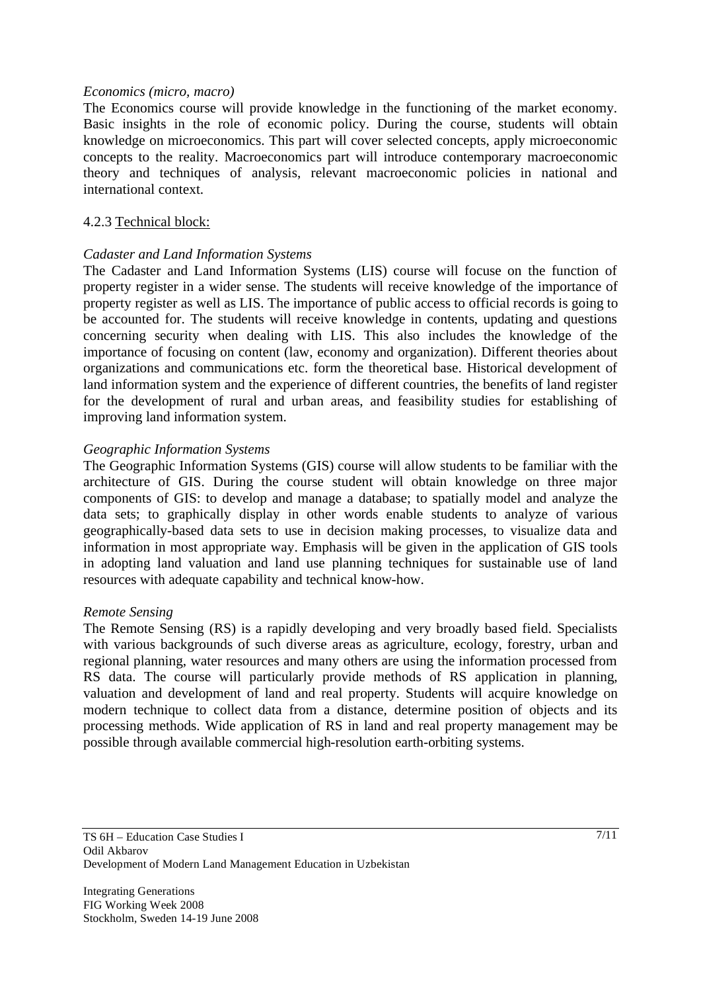#### *Economics (micro, macro)*

The Economics course will provide knowledge in the functioning of the market economy. Basic insights in the role of economic policy. During the course, students will obtain knowledge on microeconomics. This part will cover selected concepts, apply microeconomic concepts to the reality. Macroeconomics part will introduce contemporary macroeconomic theory and techniques of analysis, relevant macroeconomic policies in national and international context.

#### 4.2.3 Technical block:

### *Cadaster and Land Information Systems*

The Cadaster and Land Information Systems (LIS) course will focuse on the function of property register in a wider sense. The students will receive knowledge of the importance of property register as well as LIS. The importance of public access to official records is going to be accounted for. The students will receive knowledge in contents, updating and questions concerning security when dealing with LIS. This also includes the knowledge of the importance of focusing on content (law, economy and organization). Different theories about organizations and communications etc. form the theoretical base. Historical development of land information system and the experience of different countries, the benefits of land register for the development of rural and urban areas, and feasibility studies for establishing of improving land information system.

#### *Geographic Information Systems*

The Geographic Information Systems (GIS) course will allow students to be familiar with the architecture of GIS. During the course student will obtain knowledge on three major components of GIS: to develop and manage a database; to spatially model and analyze the data sets; to graphically display in other words enable students to analyze of various geographically-based data sets to use in decision making processes, to visualize data and information in most appropriate way. Emphasis will be given in the application of GIS tools in adopting land valuation and land use planning techniques for sustainable use of land resources with adequate capability and technical know-how.

#### *Remote Sensing*

The Remote Sensing (RS) is a rapidly developing and very broadly based field. Specialists with various backgrounds of such diverse areas as agriculture, ecology, forestry, urban and regional planning, water resources and many others are using the information processed from RS data. The course will particularly provide methods of RS application in planning, valuation and development of land and real property. Students will acquire knowledge on modern technique to collect data from a distance, determine position of objects and its processing methods. Wide application of RS in land and real property management may be possible through available commercial high-resolution earth-orbiting systems.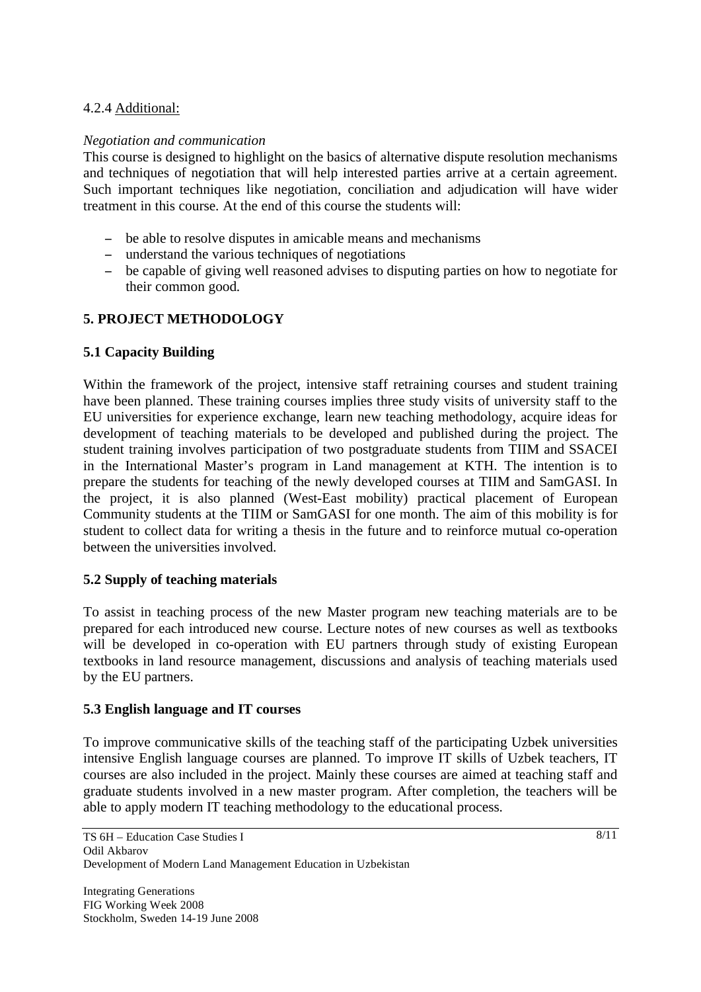# 4.2.4 Additional:

### *Negotiation and communication*

This course is designed to highlight on the basics of alternative dispute resolution mechanisms and techniques of negotiation that will help interested parties arrive at a certain agreement. Such important techniques like negotiation, conciliation and adjudication will have wider treatment in this course. At the end of this course the students will:

- be able to resolve disputes in amicable means and mechanisms
- understand the various techniques of negotiations
- be capable of giving well reasoned advises to disputing parties on how to negotiate for their common good.

# **5. PROJECT METHODOLOGY**

### **5.1 Capacity Building**

Within the framework of the project, intensive staff retraining courses and student training have been planned. These training courses implies three study visits of university staff to the EU universities for experience exchange, learn new teaching methodology, acquire ideas for development of teaching materials to be developed and published during the project. The student training involves participation of two postgraduate students from TIIM and SSACEI in the International Master's program in Land management at KTH. The intention is to prepare the students for teaching of the newly developed courses at TIIM and SamGASI. In the project, it is also planned (West-East mobility) practical placement of European Community students at the TIIM or SamGASI for one month. The aim of this mobility is for student to collect data for writing a thesis in the future and to reinforce mutual co-operation between the universities involved.

#### **5.2 Supply of teaching materials**

To assist in teaching process of the new Master program new teaching materials are to be prepared for each introduced new course. Lecture notes of new courses as well as textbooks will be developed in co-operation with EU partners through study of existing European textbooks in land resource management, discussions and analysis of teaching materials used by the EU partners.

#### **5.3 English language and IT courses**

To improve communicative skills of the teaching staff of the participating Uzbek universities intensive English language courses are planned. To improve IT skills of Uzbek teachers, IT courses are also included in the project. Mainly these courses are aimed at teaching staff and graduate students involved in a new master program. After completion, the teachers will be able to apply modern IT teaching methodology to the educational process.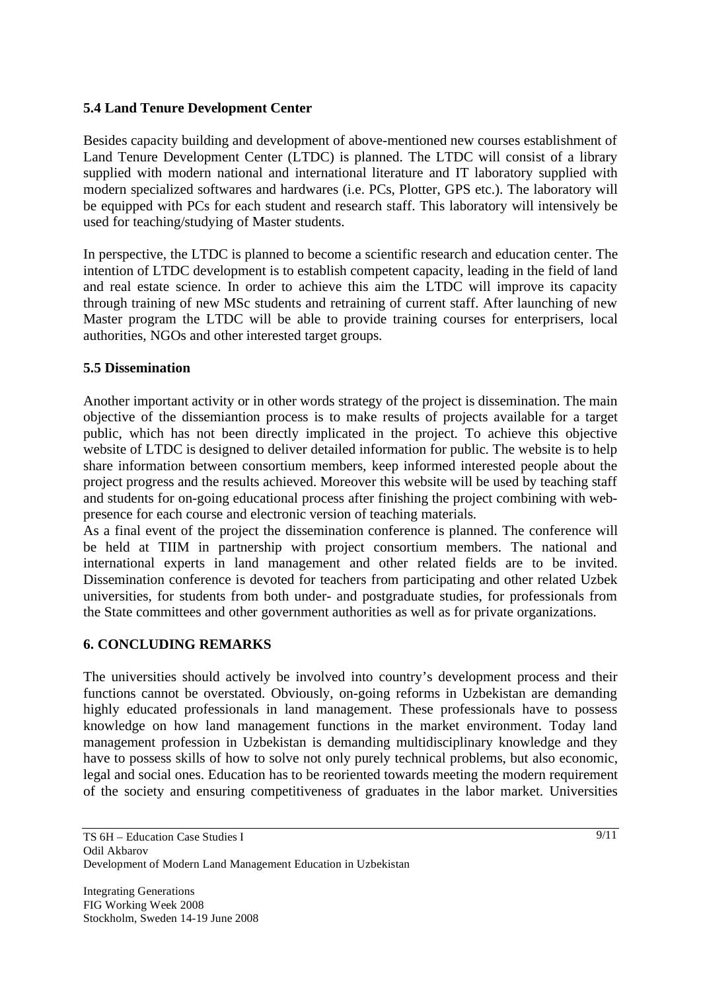# **5.4 Land Tenure Development Center**

Besides capacity building and development of above-mentioned new courses establishment of Land Tenure Development Center (LTDC) is planned. The LTDC will consist of a library supplied with modern national and international literature and IT laboratory supplied with modern specialized softwares and hardwares (i.e. PCs, Plotter, GPS etc.). The laboratory will be equipped with PCs for each student and research staff. This laboratory will intensively be used for teaching/studying of Master students.

In perspective, the LTDC is planned to become a scientific research and education center. The intention of LTDC development is to establish competent capacity, leading in the field of land and real estate science. In order to achieve this aim the LTDC will improve its capacity through training of new MSc students and retraining of current staff. After launching of new Master program the LTDC will be able to provide training courses for enterprisers, local authorities, NGOs and other interested target groups.

### **5.5 Dissemination**

Another important activity or in other words strategy of the project is dissemination. The main objective of the dissemiantion process is to make results of projects available for a target public, which has not been directly implicated in the project. To achieve this objective website of LTDC is designed to deliver detailed information for public. The website is to help share information between consortium members, keep informed interested people about the project progress and the results achieved. Moreover this website will be used by teaching staff and students for on-going educational process after finishing the project combining with webpresence for each course and electronic version of teaching materials.

As a final event of the project the dissemination conference is planned. The conference will be held at TIIM in partnership with project consortium members. The national and international experts in land management and other related fields are to be invited. Dissemination conference is devoted for teachers from participating and other related Uzbek universities, for students from both under- and postgraduate studies, for professionals from the State committees and other government authorities as well as for private organizations.

# **6. CONCLUDING REMARKS**

The universities should actively be involved into country's development process and their functions cannot be overstated. Obviously, on-going reforms in Uzbekistan are demanding highly educated professionals in land management. These professionals have to possess knowledge on how land management functions in the market environment. Today land management profession in Uzbekistan is demanding multidisciplinary knowledge and they have to possess skills of how to solve not only purely technical problems, but also economic, legal and social ones. Education has to be reoriented towards meeting the modern requirement of the society and ensuring competitiveness of graduates in the labor market. Universities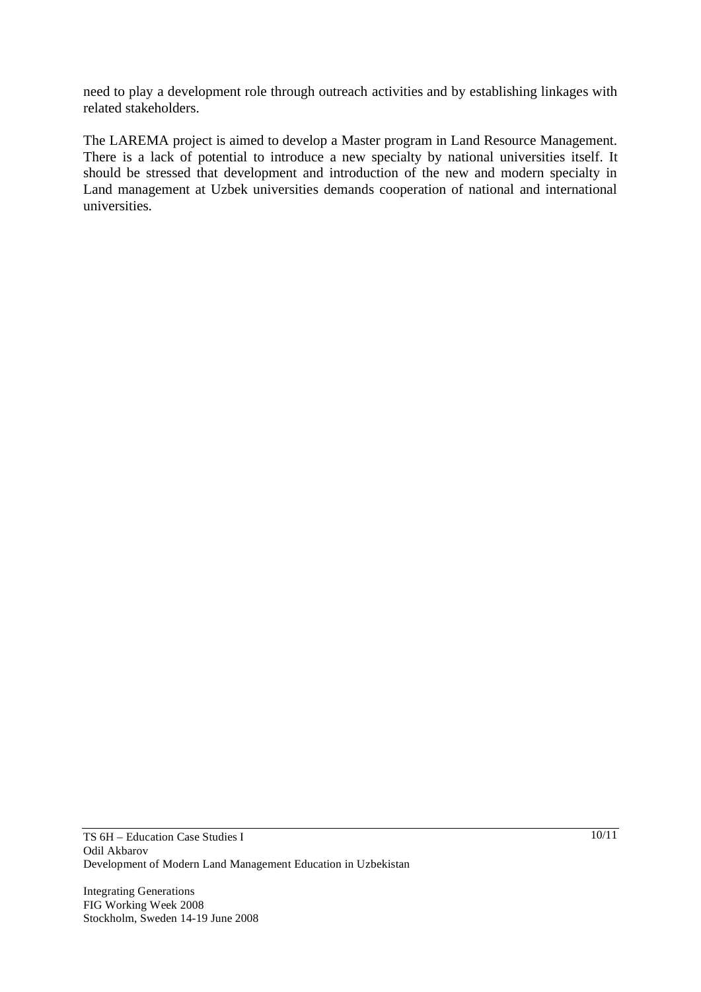need to play a development role through outreach activities and by establishing linkages with related stakeholders.

The LAREMA project is aimed to develop a Master program in Land Resource Management. There is a lack of potential to introduce a new specialty by national universities itself. It should be stressed that development and introduction of the new and modern specialty in Land management at Uzbek universities demands cooperation of national and international universities.